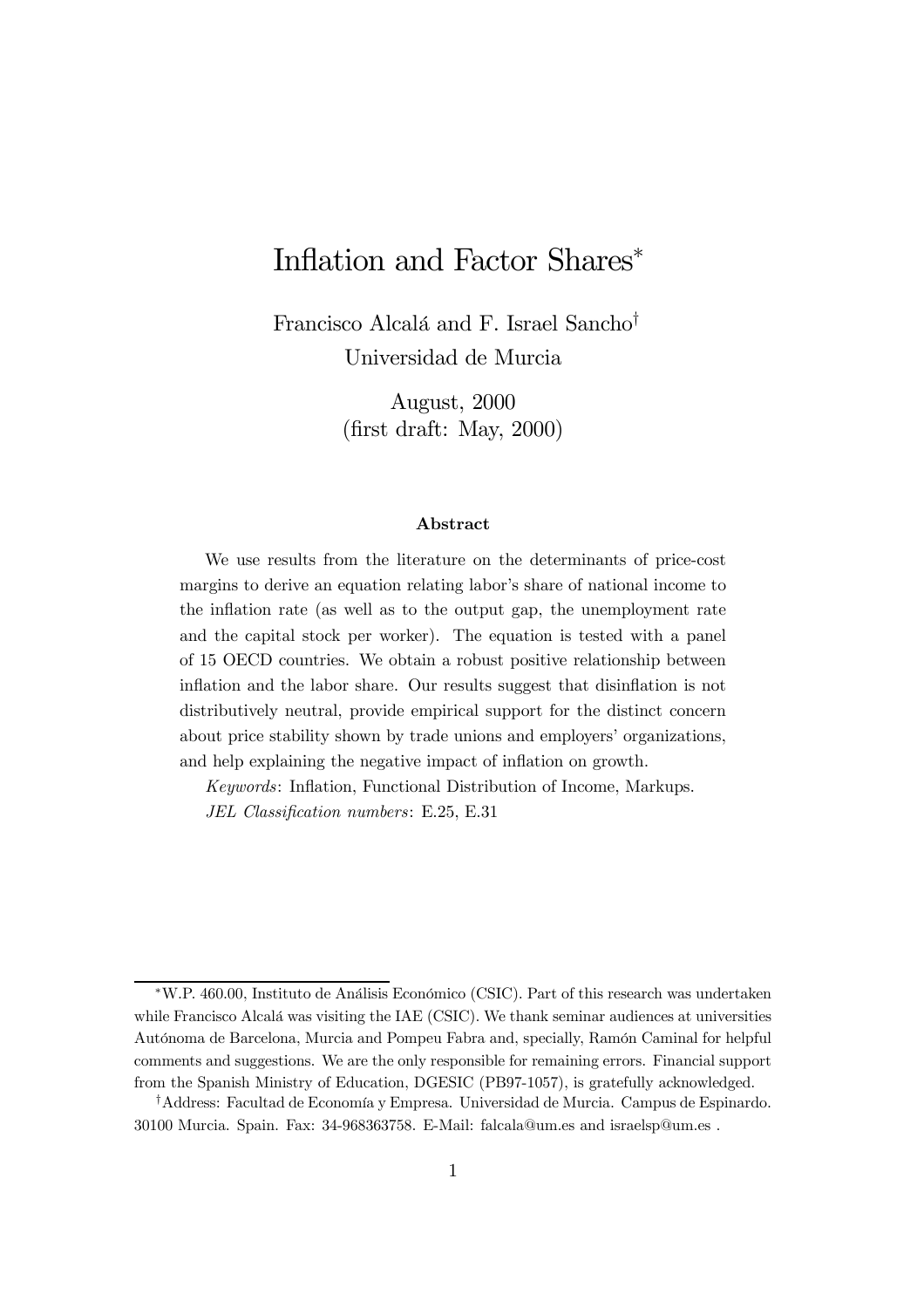# Inflation and Factor Shares<sup>\*</sup>

Francisco Alcalá and F. Israel Sancho<sup>†</sup> Universidad de Murcia

> August, 2000  $(\text{first draft: May}, 2000)$

#### Abstract

We use results from the literature on the determinants of price-cost margins to derive an equation relating labor's share of national income to the inflation rate (as well as to the output gap, the unemployment rate and the capital stock per worker). The equation is tested with a panel of 15 OECD countries. We obtain a robust positive relationship between inflation and the labor share. Our results suggest that disinflation is not distributively neutral, provide empirical support for the distinct concern about price stability shown by trade unions and employers' organizations, and help explaining the negative impact of inflation on growth.

Keywords: Inflation, Functional Distribution of Income, Markups. JEL Classification numbers: E.25, E.31

<sup>¤</sup>W.P. 460.00, Instituto de Análisis Económico (CSIC). Part of this research was undertaken while Francisco Alcalá was visiting the IAE (CSIC). We thank seminar audiences at universities Autónoma de Barcelona, Murcia and Pompeu Fabra and, specially, Ramón Caminal for helpful comments and suggestions. We are the only responsible for remaining errors. Financial support from the Spanish Ministry of Education, DGESIC (PB97-1057), is gratefully acknowledged.

<sup>&</sup>lt;sup>†</sup>Address: Facultad de Economía y Empresa. Universidad de Murcia. Campus de Espinardo. 30100 Murcia. Spain. Fax: 34-968363758. E-Mail: falcala@um.es and israelsp@um.es .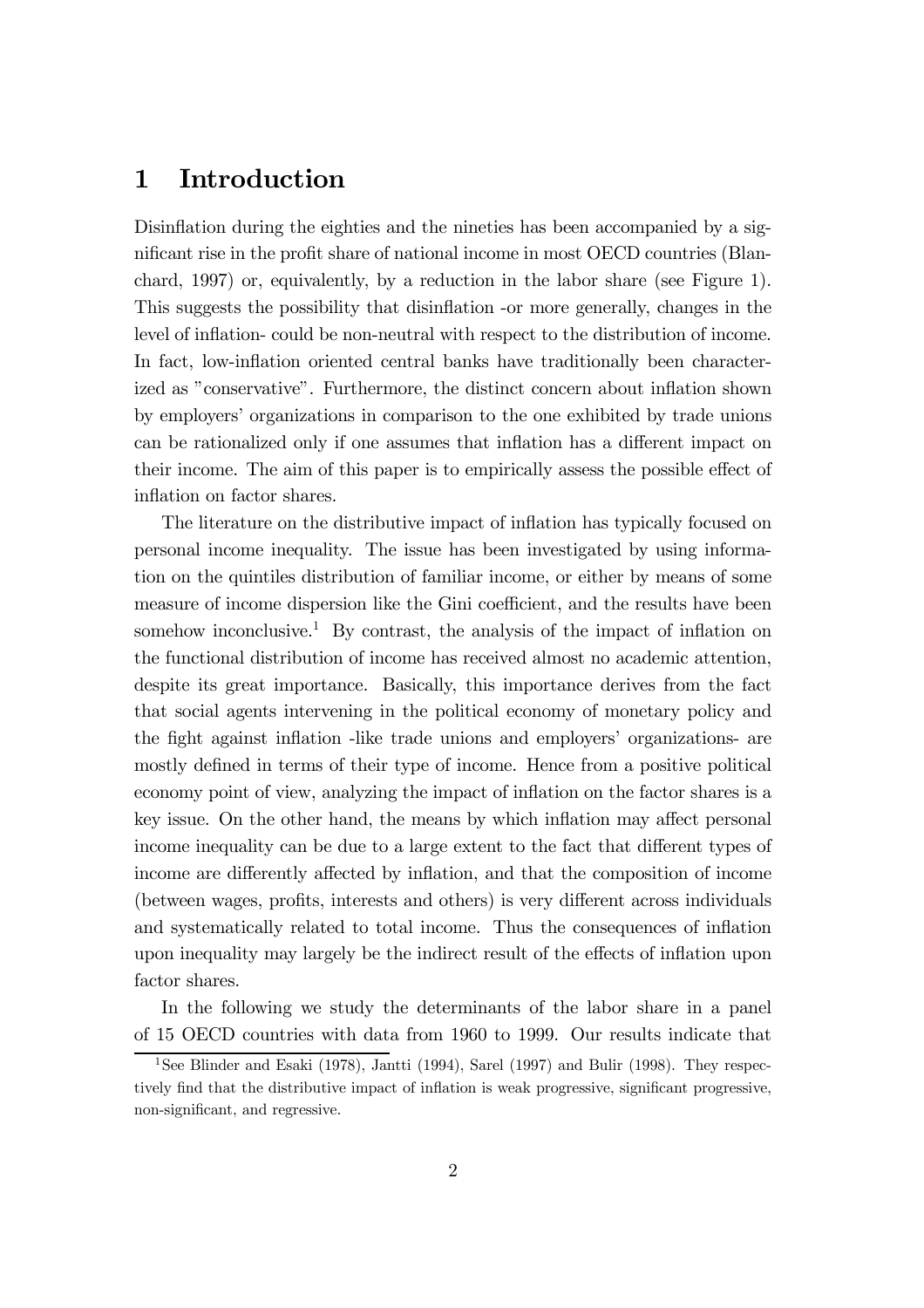### 1 Introduction

Disinflation during the eighties and the nineties has been accompanied by a significant rise in the profit share of national income in most OECD countries (Blanchard, 1997) or, equivalently, by a reduction in the labor share (see Figure 1). This suggests the possibility that disin‡ation -or more generally, changes in the level of inflation- could be non-neutral with respect to the distribution of income. In fact, low-inflation oriented central banks have traditionally been characterized as "conservative". Furthermore, the distinct concern about inflation shown by employers' organizations in comparison to the one exhibited by trade unions can be rationalized only if one assumes that inflation has a different impact on their income. The aim of this paper is to empirically assess the possible effect of inflation on factor shares.

The literature on the distributive impact of inflation has typically focused on personal income inequality. The issue has been investigated by using information on the quintiles distribution of familiar income, or either by means of some measure of income dispersion like the Gini coefficient, and the results have been somehow inconclusive.<sup>1</sup> By contrast, the analysis of the impact of inflation on the functional distribution of income has received almost no academic attention, despite its great importance. Basically, this importance derives from the fact that social agents intervening in the political economy of monetary policy and the fight against inflation -like trade unions and employers' organizations- are mostly defined in terms of their type of income. Hence from a positive political economy point of view, analyzing the impact of inflation on the factor shares is a key issue. On the other hand, the means by which inflation may affect personal income inequality can be due to a large extent to the fact that different types of income are differently affected by inflation, and that the composition of income (between wages, profits, interests and others) is very different across individuals and systematically related to total income. Thus the consequences of inflation upon inequality may largely be the indirect result of the effects of inflation upon factor shares.

In the following we study the determinants of the labor share in a panel of 15 OECD countries with data from 1960 to 1999. Our results indicate that

<sup>&</sup>lt;sup>1</sup>See Blinder and Esaki (1978), Jantti (1994), Sarel (1997) and Bulir (1998). They respectively find that the distributive impact of inflation is weak progressive, significant progressive, non-significant, and regressive.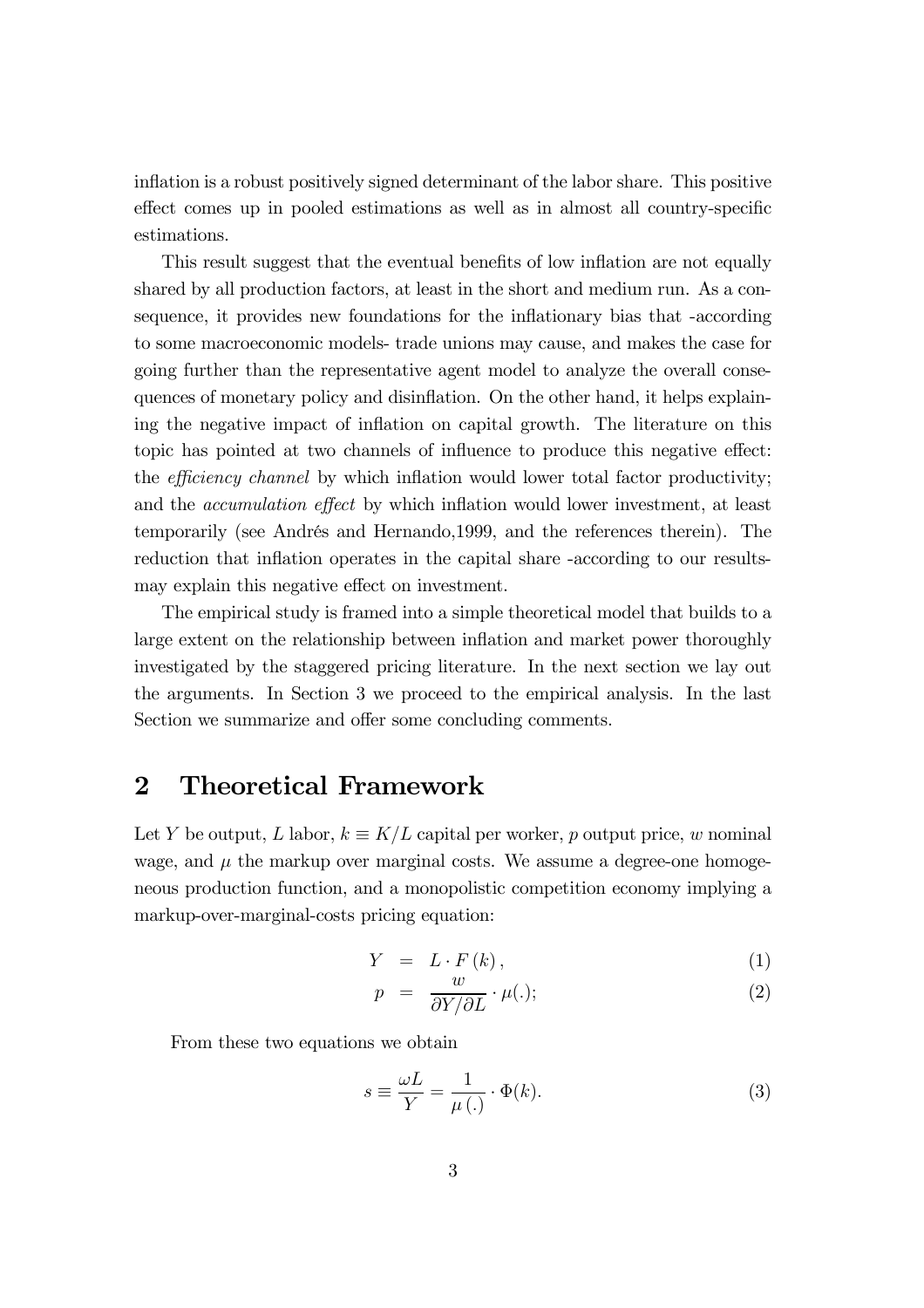inflation is a robust positively signed determinant of the labor share. This positive effect comes up in pooled estimations as well as in almost all country-specific estimations.

This result suggest that the eventual benefits of low inflation are not equally shared by all production factors, at least in the short and medium run. As a consequence, it provides new foundations for the inflationary bias that -according to some macroeconomic models- trade unions may cause, and makes the case for going further than the representative agent model to analyze the overall consequences of monetary policy and disin‡ation. On the other hand, it helps explaining the negative impact of inflation on capital growth. The literature on this topic has pointed at two channels of influence to produce this negative effect: the *efficiency channel* by which inflation would lower total factor productivity; and the *accumulation effect* by which inflation would lower investment, at least temporarily (see Andrés and Hernando,1999, and the references therein). The reduction that inflation operates in the capital share -according to our resultsmay explain this negative effect on investment.

The empirical study is framed into a simple theoretical model that builds to a large extent on the relationship between inflation and market power thoroughly investigated by the staggered pricing literature. In the next section we lay out the arguments. In Section 3 we proceed to the empirical analysis. In the last Section we summarize and offer some concluding comments.

### 2 Theoretical Framework

Let Y be output, L labor,  $k \equiv K/L$  capital per worker, p output price, w nominal wage, and  $\mu$  the markup over marginal costs. We assume a degree-one homogeneous production function, and a monopolistic competition economy implying a markup-over-marginal-costs pricing equation:

$$
Y = L \cdot F(k), \qquad (1)
$$

$$
p = \frac{w}{\partial Y/\partial L} \cdot \mu(.); \tag{2}
$$

From these two equations we obtain

$$
s \equiv \frac{\omega L}{Y} = \frac{1}{\mu(.)} \cdot \Phi(k). \tag{3}
$$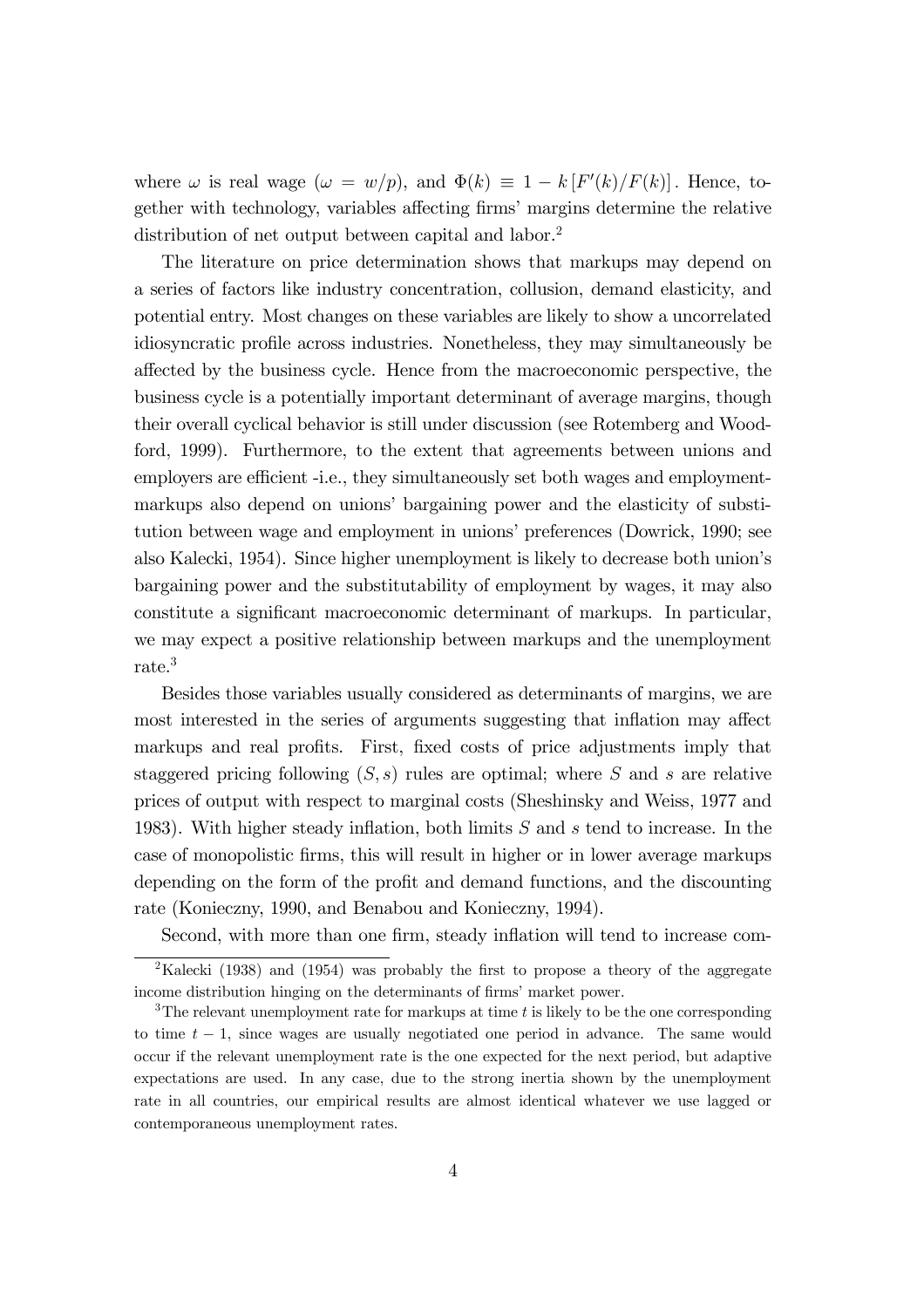where  $\omega$  is real wage  $(\omega = w/p)$ , and  $\Phi(k) \equiv 1 - k [F'(k)/F(k)]$ . Hence, together with technology, variables affecting firms' margins determine the relative distribution of net output between capital and labor.<sup>2</sup>

The literature on price determination shows that markups may depend on a series of factors like industry concentration, collusion, demand elasticity, and potential entry. Most changes on these variables are likely to show a uncorrelated idiosyncratic profile across industries. Nonetheless, they may simultaneously be affected by the business cycle. Hence from the macroeconomic perspective, the business cycle is a potentially important determinant of average margins, though their overall cyclical behavior is still under discussion (see Rotemberg and Woodford, 1999). Furthermore, to the extent that agreements between unions and employers are efficient -i.e., they simultaneously set both wages and employmentmarkups also depend on unions' bargaining power and the elasticity of substitution between wage and employment in unions' preferences (Dowrick, 1990; see also Kalecki, 1954). Since higher unemployment is likely to decrease both union's bargaining power and the substitutability of employment by wages, it may also constitute a significant macroeconomic determinant of markups. In particular, we may expect a positive relationship between markups and the unemployment rate.<sup>3</sup>

Besides those variables usually considered as determinants of margins, we are most interested in the series of arguments suggesting that inflation may affect markups and real profits. First, fixed costs of price adjustments imply that staggered pricing following  $(S, s)$  rules are optimal; where S and s are relative prices of output with respect to marginal costs (Sheshinsky and Weiss, 1977 and 1983). With higher steady inflation, both limits  $S$  and  $s$  tend to increase. In the case of monopolistic firms, this will result in higher or in lower average markups depending on the form of the profit and demand functions, and the discounting rate (Konieczny, 1990, and Benabou and Konieczny, 1994).

Second, with more than one firm, steady inflation will tend to increase com-

<sup>&</sup>lt;sup>2</sup>Kalecki (1938) and (1954) was probably the first to propose a theory of the aggregate income distribution hinging on the determinants of firms' market power.

<sup>&</sup>lt;sup>3</sup>The relevant unemployment rate for markups at time  $t$  is likely to be the one corresponding to time  $t - 1$ , since wages are usually negotiated one period in advance. The same would occur if the relevant unemployment rate is the one expected for the next period, but adaptive expectations are used. In any case, due to the strong inertia shown by the unemployment rate in all countries, our empirical results are almost identical whatever we use lagged or contemporaneous unemployment rates.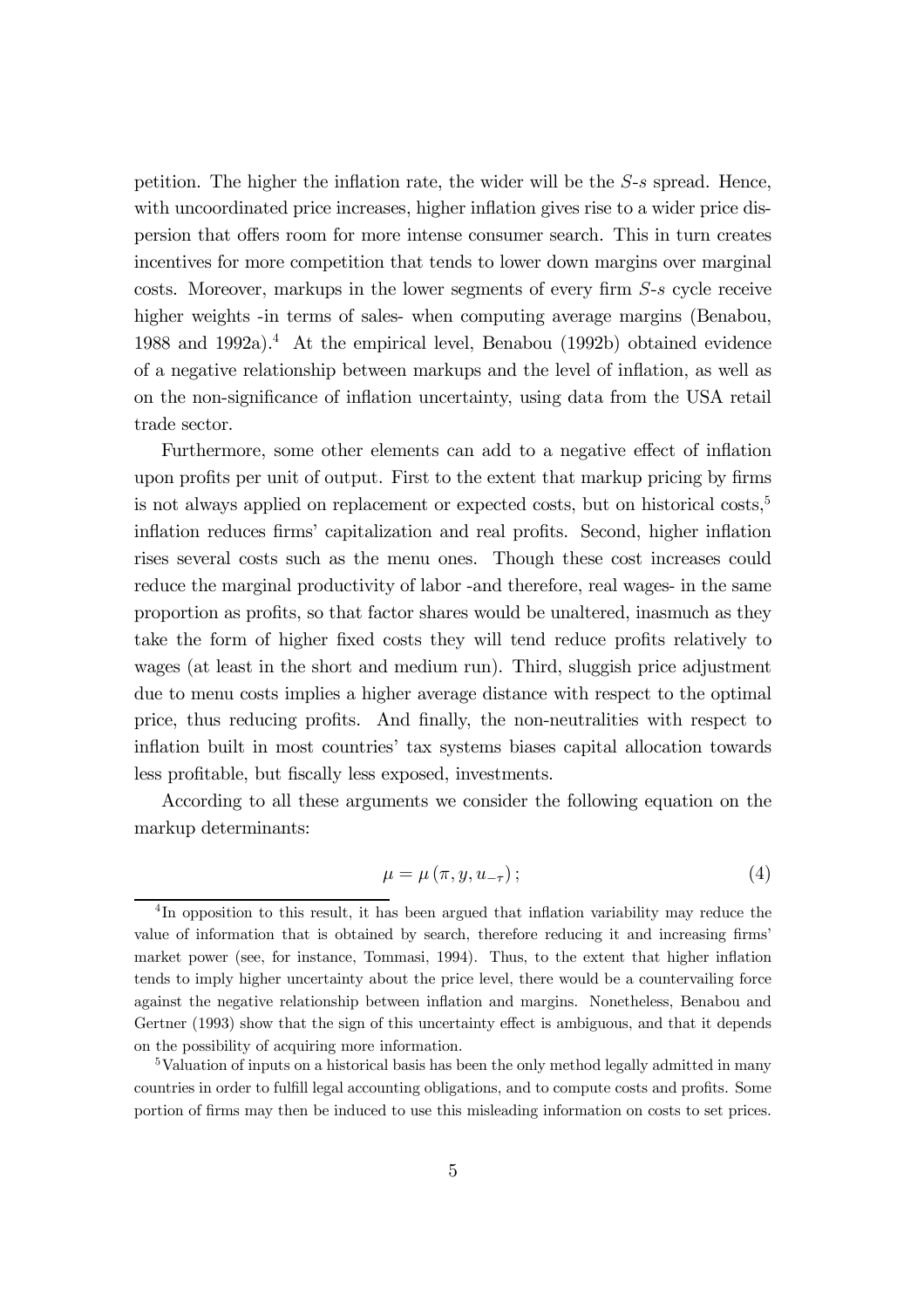petition. The higher the inflation rate, the wider will be the  $S$ -s spread. Hence, with uncoordinated price increases, higher inflation gives rise to a wider price dispersion that offers room for more intense consumer search. This in turn creates incentives for more competition that tends to lower down margins over marginal costs. Moreover, markups in the lower segments of every firm  $S$ -s cycle receive higher weights -in terms of sales- when computing average margins (Benabou, 1988 and 1992a).<sup>4</sup> At the empirical level, Benabou (1992b) obtained evidence of a negative relationship between markups and the level of in‡ation, as well as on the non-significance of inflation uncertainty, using data from the USA retail trade sector.

Furthermore, some other elements can add to a negative effect of inflation upon profits per unit of output. First to the extent that markup pricing by firms is not always applied on replacement or expected costs, but on historical costs,<sup>5</sup> inflation reduces firms' capitalization and real profits. Second, higher inflation rises several costs such as the menu ones. Though these cost increases could reduce the marginal productivity of labor -and therefore, real wages- in the same proportion as profits, so that factor shares would be unaltered, inasmuch as they take the form of higher fixed costs they will tend reduce profits relatively to wages (at least in the short and medium run). Third, sluggish price adjustment due to menu costs implies a higher average distance with respect to the optimal price, thus reducing profits. And finally, the non-neutralities with respect to inflation built in most countries' tax systems biases capital allocation towards less profitable, but fiscally less exposed, investments.

According to all these arguments we consider the following equation on the markup determinants:

$$
\mu = \mu \left( \pi, y, u_{-\tau} \right); \tag{4}
$$

<sup>&</sup>lt;sup>4</sup>In opposition to this result, it has been argued that inflation variability may reduce the value of information that is obtained by search, therefore reducing it and increasing firms' market power (see, for instance, Tommasi, 1994). Thus, to the extent that higher inflation tends to imply higher uncertainty about the price level, there would be a countervailing force against the negative relationship between in‡ation and margins. Nonetheless, Benabou and Gertner (1993) show that the sign of this uncertainty effect is ambiguous, and that it depends on the possibility of acquiring more information.

<sup>&</sup>lt;sup>5</sup>Valuation of inputs on a historical basis has been the only method legally admitted in many countries in order to fulfill legal accounting obligations, and to compute costs and profits. Some portion of firms may then be induced to use this misleading information on costs to set prices.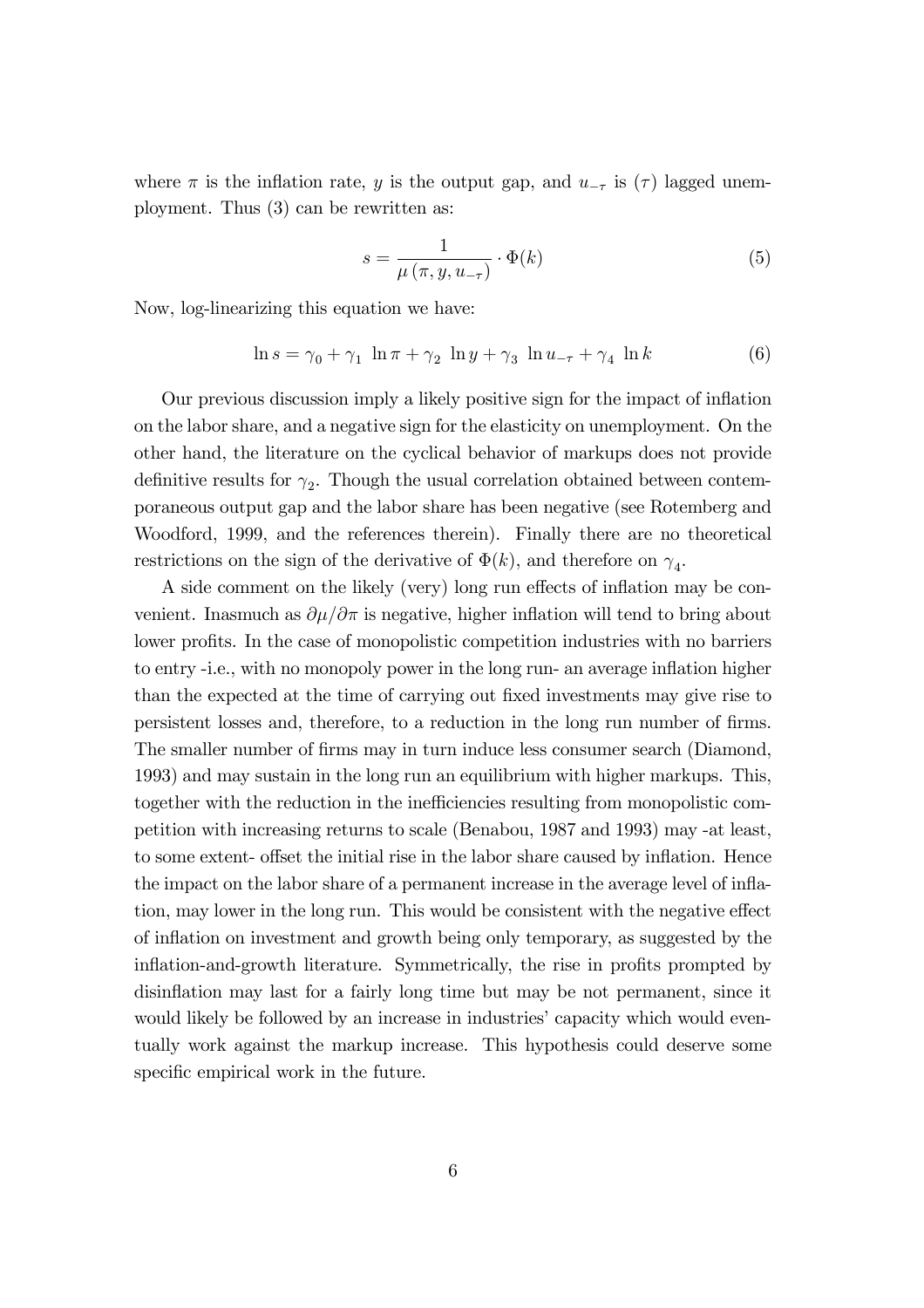where  $\pi$  is the inflation rate, y is the output gap, and  $u_{-\tau}$  is ( $\tau$ ) lagged unemployment. Thus (3) can be rewritten as:

$$
s = \frac{1}{\mu\left(\pi, y, u_{-\tau}\right)} \cdot \Phi(k) \tag{5}
$$

Now, log-linearizing this equation we have:

$$
\ln s = \gamma_0 + \gamma_1 \ln \pi + \gamma_2 \ln y + \gamma_3 \ln u_{-\tau} + \gamma_4 \ln k \tag{6}
$$

Our previous discussion imply a likely positive sign for the impact of in‡ation on the labor share, and a negative sign for the elasticity on unemployment. On the other hand, the literature on the cyclical behavior of markups does not provide definitive results for  $\gamma_2$ . Though the usual correlation obtained between contemporaneous output gap and the labor share has been negative (see Rotemberg and Woodford, 1999, and the references therein). Finally there are no theoretical restrictions on the sign of the derivative of  $\Phi(k)$ , and therefore on  $\gamma_4$ .

A side comment on the likely (very) long run effects of inflation may be convenient. Inasmuch as  $\partial \mu / \partial \pi$  is negative, higher inflation will tend to bring about lower profits. In the case of monopolistic competition industries with no barriers to entry -i.e., with no monopoly power in the long run- an average inflation higher than the expected at the time of carrying out fixed investments may give rise to persistent losses and, therefore, to a reduction in the long run number of firms. The smaller number of firms may in turn induce less consumer search (Diamond, 1993) and may sustain in the long run an equilibrium with higher markups. This, together with the reduction in the inefficiencies resulting from monopolistic competition with increasing returns to scale (Benabou, 1987 and 1993) may -at least, to some extent- offset the initial rise in the labor share caused by inflation. Hence the impact on the labor share of a permanent increase in the average level of inflation, may lower in the long run. This would be consistent with the negative effect of in‡ation on investment and growth being only temporary, as suggested by the inflation-and-growth literature. Symmetrically, the rise in profits prompted by disinflation may last for a fairly long time but may be not permanent, since it would likely be followed by an increase in industries' capacity which would eventually work against the markup increase. This hypothesis could deserve some specific empirical work in the future.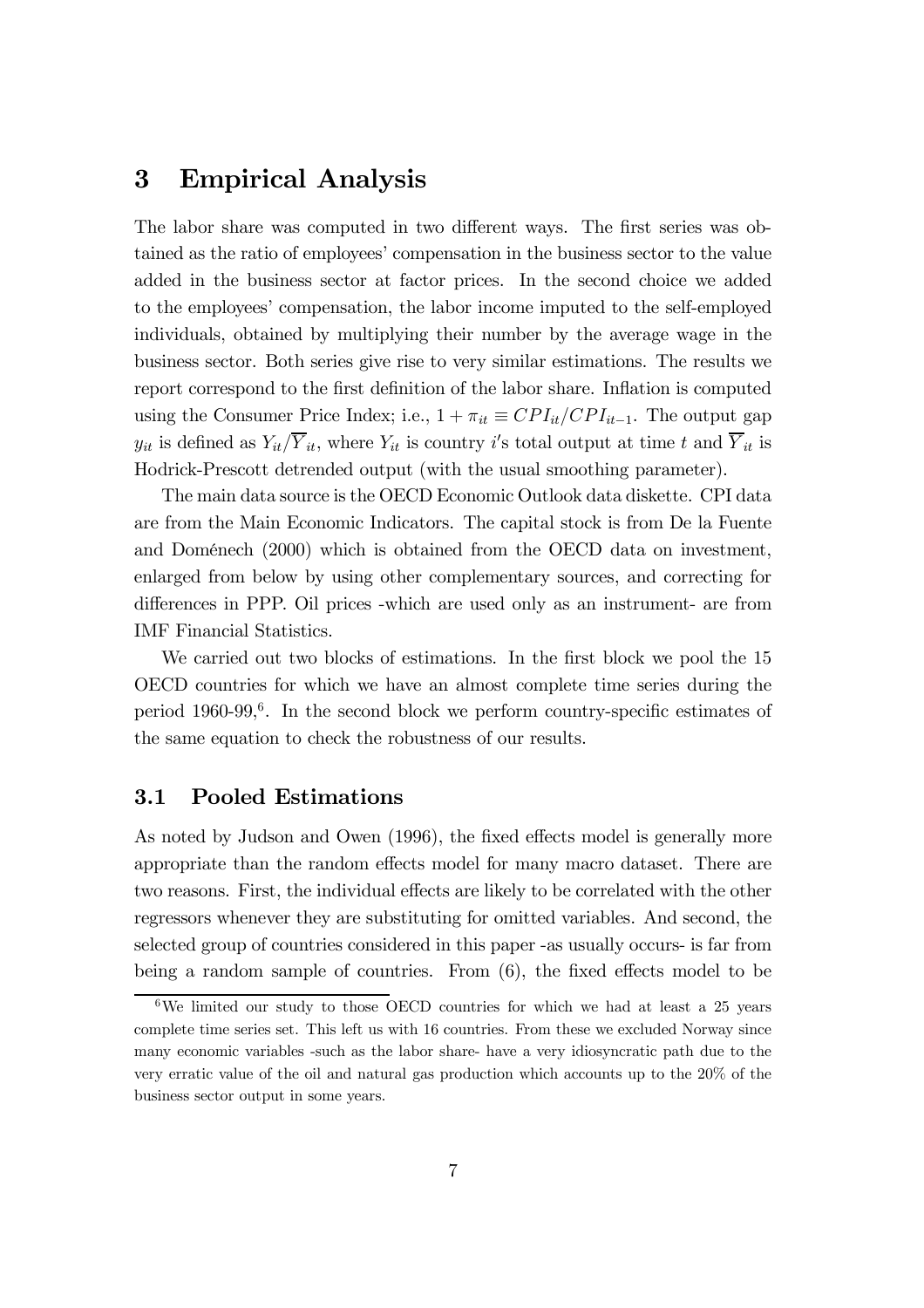# 3 Empirical Analysis

The labor share was computed in two different ways. The first series was obtained as the ratio of employees' compensation in the business sector to the value added in the business sector at factor prices. In the second choice we added to the employees' compensation, the labor income imputed to the self-employed individuals, obtained by multiplying their number by the average wage in the business sector. Both series give rise to very similar estimations. The results we report correspond to the first definition of the labor share. Inflation is computed using the Consumer Price Index; i.e.,  $1 + \pi_{it} \equiv CPI_{it}/CPI_{it-1}$ . The output gap  $y_{it}$  is defined as  $Y_{it}/Y_{it}$ , where  $Y_{it}$  is country i's total output at time t and  $Y_{it}$  is Hodrick-Prescott detrended output (with the usual smoothing parameter).

The main data source is the OECD Economic Outlook data diskette. CPI data are from the Main Economic Indicators. The capital stock is from De la Fuente and Doménech (2000) which is obtained from the OECD data on investment, enlarged from below by using other complementary sources, and correcting for differences in PPP. Oil prices -which are used only as an instrument- are from IMF Financial Statistics.

We carried out two blocks of estimations. In the first block we pool the 15 OECD countries for which we have an almost complete time series during the period  $1960-99$ ,<sup>6</sup>. In the second block we perform country-specific estimates of the same equation to check the robustness of our results.

#### 3.1 Pooled Estimations

As noted by Judson and Owen (1996), the fixed effects model is generally more appropriate than the random effects model for many macro dataset. There are two reasons. First, the individual effects are likely to be correlated with the other regressors whenever they are substituting for omitted variables. And second, the selected group of countries considered in this paper -as usually occurs- is far from being a random sample of countries. From  $(6)$ , the fixed effects model to be

 $6$ We limited our study to those OECD countries for which we had at least a 25 years complete time series set. This left us with 16 countries. From these we excluded Norway since many economic variables -such as the labor share- have a very idiosyncratic path due to the very erratic value of the oil and natural gas production which accounts up to the 20% of the business sector output in some years.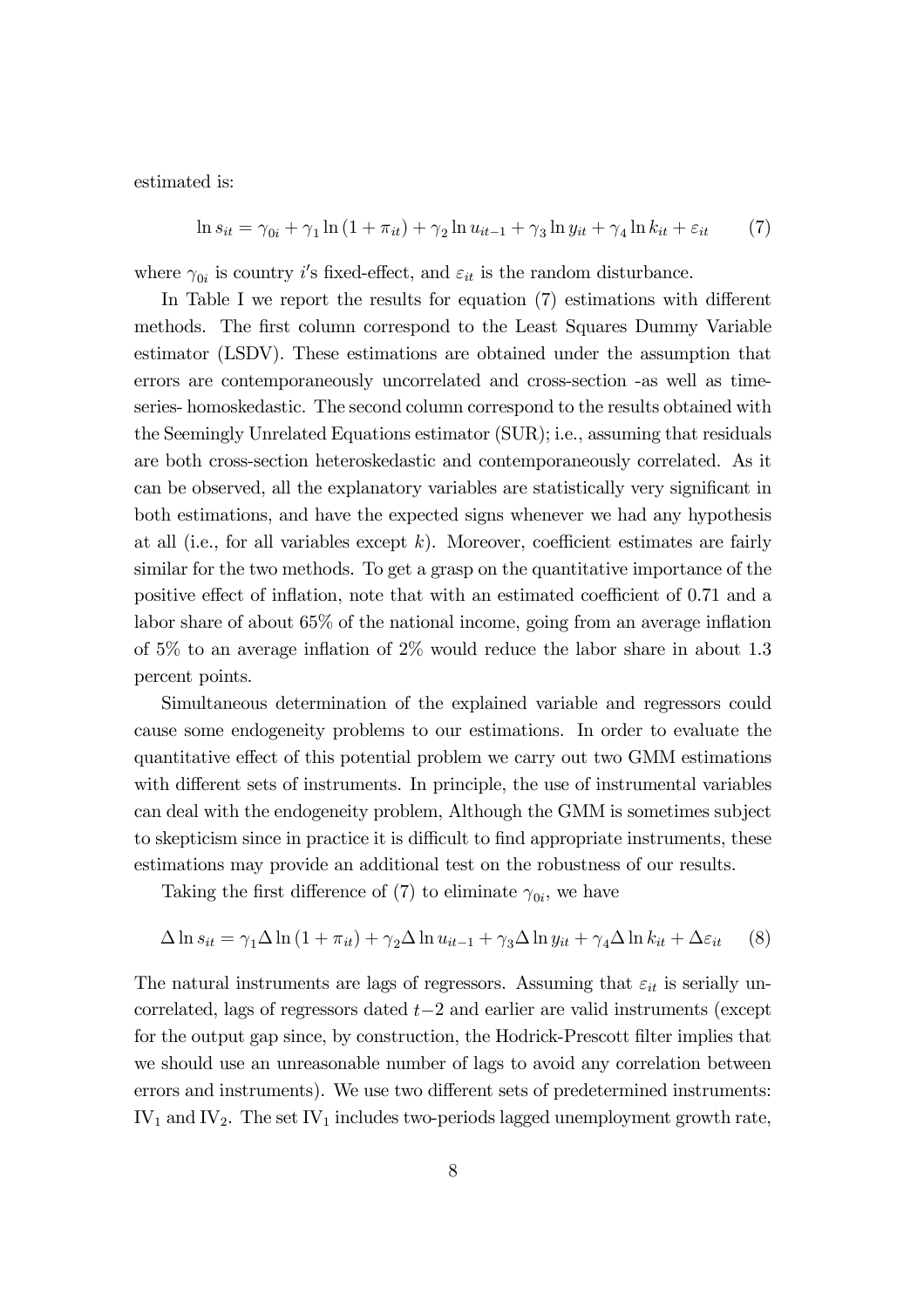estimated is:

$$
\ln s_{it} = \gamma_{0i} + \gamma_1 \ln (1 + \pi_{it}) + \gamma_2 \ln u_{it-1} + \gamma_3 \ln y_{it} + \gamma_4 \ln k_{it} + \varepsilon_{it}
$$
 (7)

where  $\gamma_{0i}$  is country *i*'s fixed-effect, and  $\varepsilon_{it}$  is the random disturbance.

In Table I we report the results for equation  $(7)$  estimations with different methods. The first column correspond to the Least Squares Dummy Variable estimator (LSDV). These estimations are obtained under the assumption that errors are contemporaneously uncorrelated and cross-section -as well as timeseries- homoskedastic. The second column correspond to the results obtained with the Seemingly Unrelated Equations estimator (SUR); i.e., assuming that residuals are both cross-section heteroskedastic and contemporaneously correlated. As it can be observed, all the explanatory variables are statistically very significant in both estimations, and have the expected signs whenever we had any hypothesis at all (i.e., for all variables except  $k$ ). Moreover, coefficient estimates are fairly similar for the two methods. To get a grasp on the quantitative importance of the positive effect of inflation, note that with an estimated coefficient of 0.71 and a labor share of about  $65\%$  of the national income, going from an average inflation of 5% to an average inflation of 2% would reduce the labor share in about  $1.3$ percent points.

Simultaneous determination of the explained variable and regressors could cause some endogeneity problems to our estimations. In order to evaluate the quantitative effect of this potential problem we carry out two GMM estimations with different sets of instruments. In principle, the use of instrumental variables can deal with the endogeneity problem, Although the GMM is sometimes subject to skepticism since in practice it is difficult to find appropriate instruments, these estimations may provide an additional test on the robustness of our results.

Taking the first difference of (7) to eliminate  $\gamma_{0i}$ , we have

$$
\Delta \ln s_{it} = \gamma_1 \Delta \ln \left( 1 + \pi_{it} \right) + \gamma_2 \Delta \ln u_{it-1} + \gamma_3 \Delta \ln y_{it} + \gamma_4 \Delta \ln k_{it} + \Delta \varepsilon_{it} \tag{8}
$$

The natural instruments are lags of regressors. Assuming that  $\varepsilon_{it}$  is serially uncorrelated, lags of regressors dated  $t-2$  and earlier are valid instruments (except for the output gap since, by construction, the Hodrick-Prescott filter implies that we should use an unreasonable number of lags to avoid any correlation between errors and instruments). We use two different sets of predetermined instruments:  $IV<sub>1</sub>$  and  $IV<sub>2</sub>$ . The set  $IV<sub>1</sub>$  includes two-periods lagged unemployment growth rate,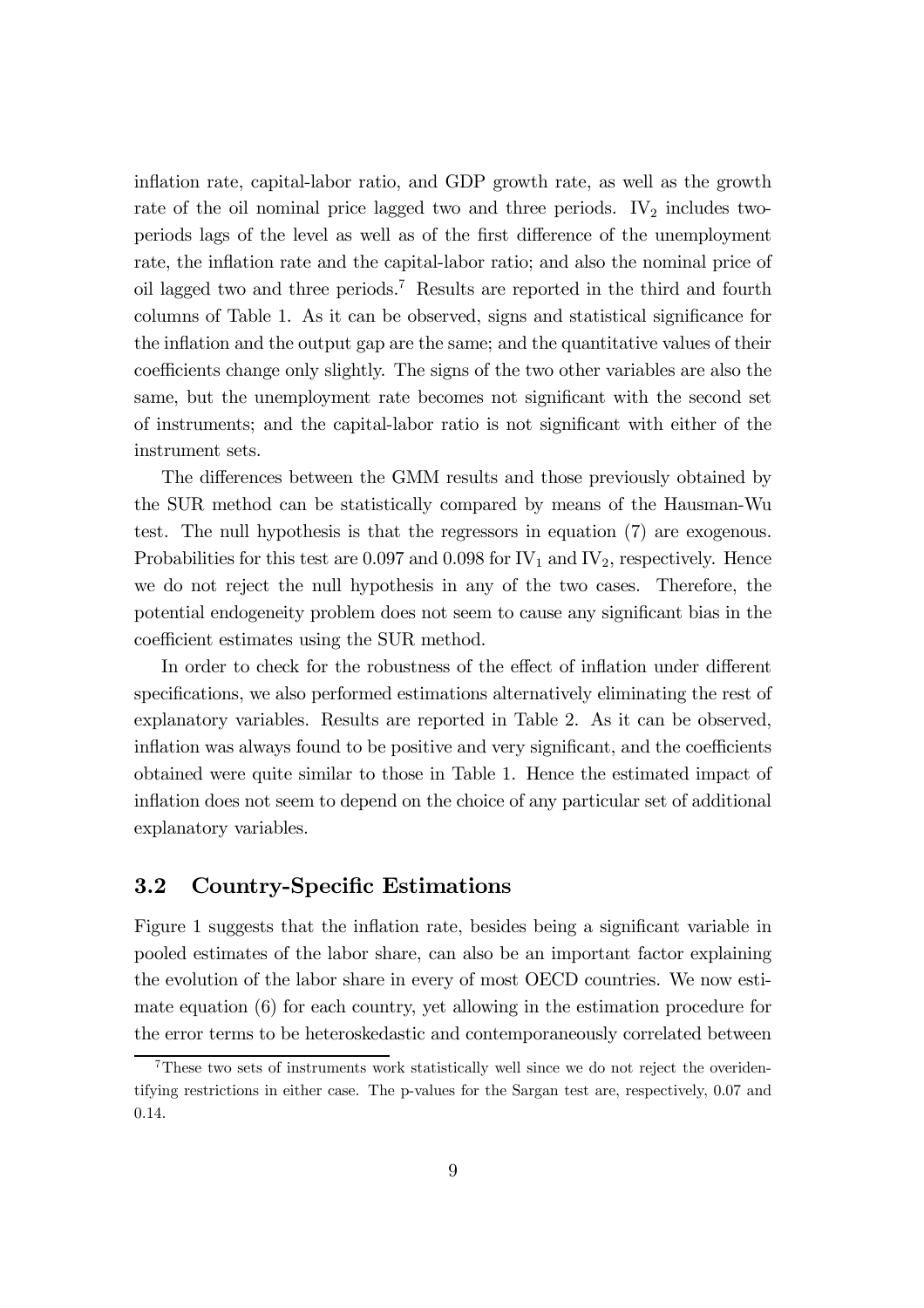inflation rate, capital-labor ratio, and GDP growth rate, as well as the growth rate of the oil nominal price lagged two and three periods.  $IV<sub>2</sub>$  includes twoperiods lags of the level as well as of the first difference of the unemployment rate, the inflation rate and the capital-labor ratio; and also the nominal price of oil lagged two and three periods.7 Results are reported in the third and fourth columns of Table 1. As it can be observed, signs and statistical significance for the inflation and the output gap are the same; and the quantitative values of their coefficients change only slightly. The signs of the two other variables are also the same, but the unemployment rate becomes not significant with the second set of instruments; and the capital-labor ratio is not significant with either of the instrument sets.

The differences between the GMM results and those previously obtained by the SUR method can be statistically compared by means of the Hausman-Wu test. The null hypothesis is that the regressors in equation (7) are exogenous. Probabilities for this test are 0.097 and 0.098 for  $IV_1$  and  $IV_2$ , respectively. Hence we do not reject the null hypothesis in any of the two cases. Therefore, the potential endogeneity problem does not seem to cause any significant bias in the coefficient estimates using the SUR method.

In order to check for the robustness of the effect of inflation under different specifications, we also performed estimations alternatively eliminating the rest of explanatory variables. Results are reported in Table 2. As it can be observed, inflation was always found to be positive and very significant, and the coefficients obtained were quite similar to those in Table 1. Hence the estimated impact of inflation does not seem to depend on the choice of any particular set of additional explanatory variables.

### 3.2 Country-Specific Estimations

Figure 1 suggests that the inflation rate, besides being a significant variable in pooled estimates of the labor share, can also be an important factor explaining the evolution of the labor share in every of most OECD countries. We now estimate equation (6) for each country, yet allowing in the estimation procedure for the error terms to be heteroskedastic and contemporaneously correlated between

<sup>7</sup>These two sets of instruments work statistically well since we do not reject the overidentifying restrictions in either case. The p-values for the Sargan test are, respectively, 0.07 and 0.14.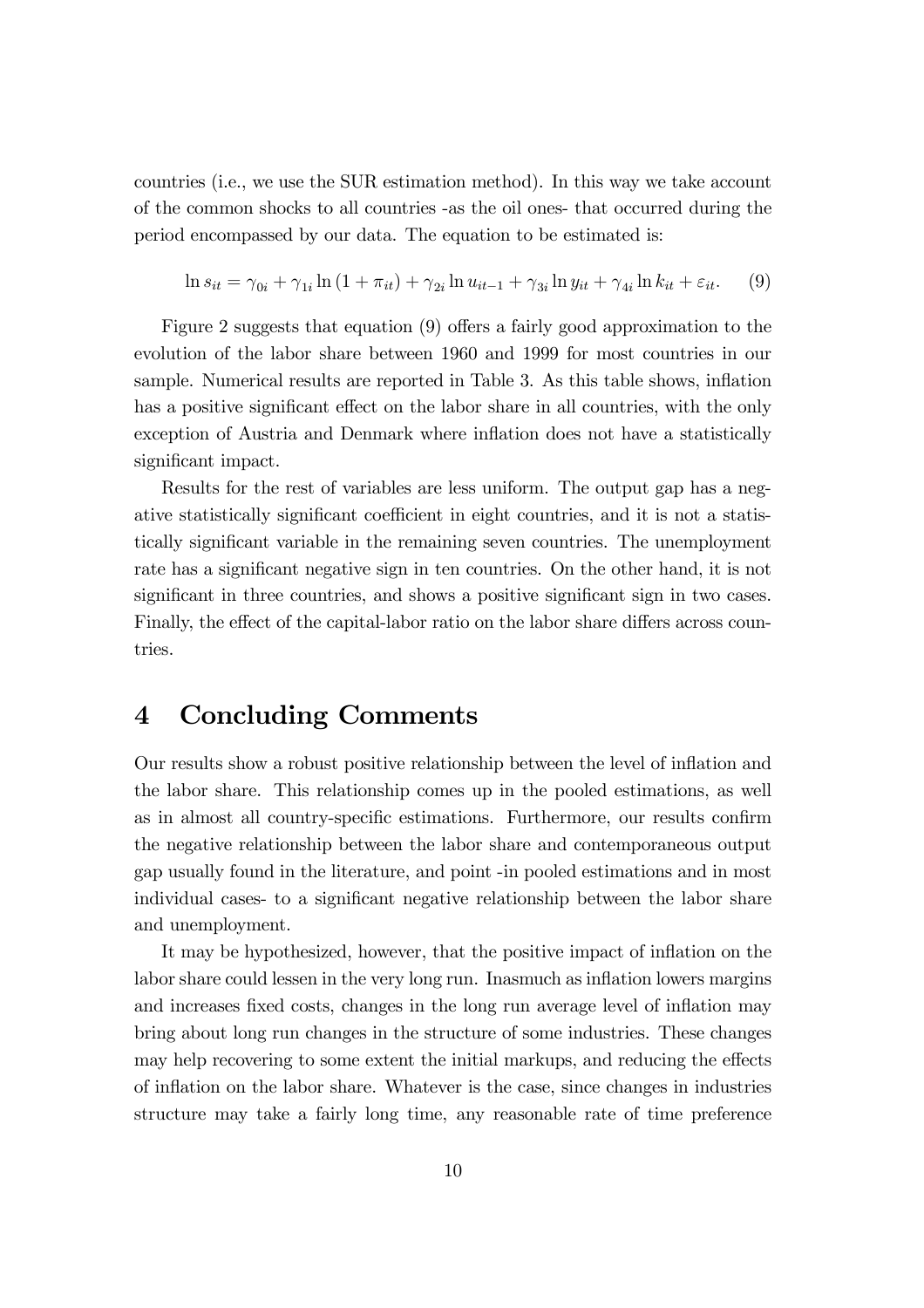countries (i.e., we use the SUR estimation method). In this way we take account of the common shocks to all countries -as the oil ones- that occurred during the period encompassed by our data. The equation to be estimated is:

$$
\ln s_{it} = \gamma_{0i} + \gamma_{1i} \ln (1 + \pi_{it}) + \gamma_{2i} \ln u_{it-1} + \gamma_{3i} \ln y_{it} + \gamma_{4i} \ln k_{it} + \varepsilon_{it}.
$$
 (9)

Figure 2 suggests that equation  $(9)$  offers a fairly good approximation to the evolution of the labor share between 1960 and 1999 for most countries in our sample. Numerical results are reported in Table 3. As this table shows, inflation has a positive significant effect on the labor share in all countries, with the only exception of Austria and Denmark where inflation does not have a statistically significant impact.

Results for the rest of variables are less uniform. The output gap has a negative statistically significant coefficient in eight countries, and it is not a statistically significant variable in the remaining seven countries. The unemployment rate has a significant negative sign in ten countries. On the other hand, it is not significant in three countries, and shows a positive significant sign in two cases. Finally, the effect of the capital-labor ratio on the labor share differs across countries.

# 4 Concluding Comments

Our results show a robust positive relationship between the level of in‡ation and the labor share. This relationship comes up in the pooled estimations, as well as in almost all country-specific estimations. Furthermore, our results confirm the negative relationship between the labor share and contemporaneous output gap usually found in the literature, and point -in pooled estimations and in most individual cases- to a significant negative relationship between the labor share and unemployment.

It may be hypothesized, however, that the positive impact of inflation on the labor share could lessen in the very long run. Inasmuch as inflation lowers margins and increases fixed costs, changes in the long run average level of inflation may bring about long run changes in the structure of some industries. These changes may help recovering to some extent the initial markups, and reducing the effects of in‡ation on the labor share. Whatever is the case, since changes in industries structure may take a fairly long time, any reasonable rate of time preference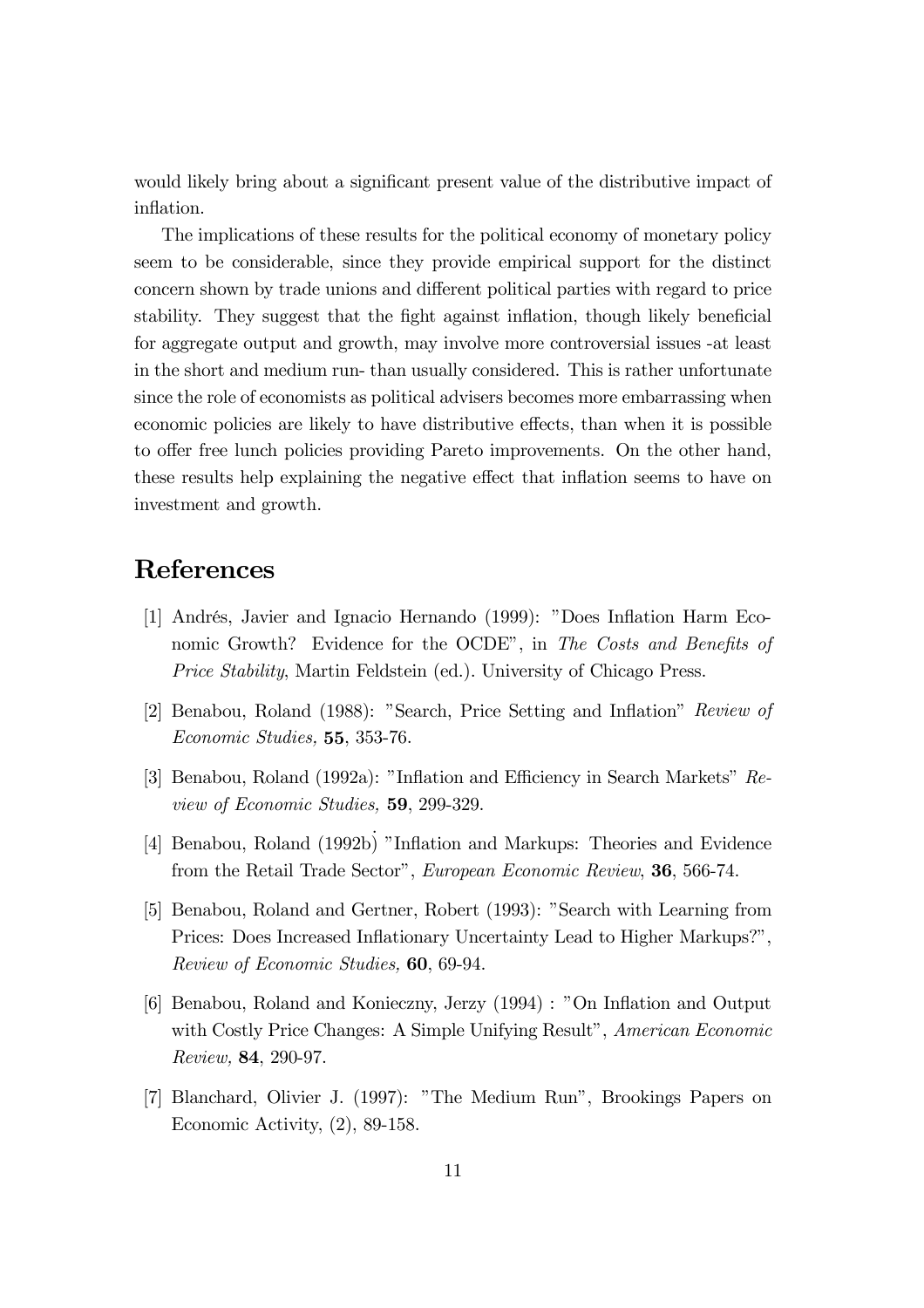would likely bring about a significant present value of the distributive impact of inflation.

The implications of these results for the political economy of monetary policy seem to be considerable, since they provide empirical support for the distinct concern shown by trade unions and different political parties with regard to price stability. They suggest that the fight against inflation, though likely beneficial for aggregate output and growth, may involve more controversial issues -at least in the short and medium run- than usually considered. This is rather unfortunate since the role of economists as political advisers becomes more embarrassing when economic policies are likely to have distributive effects, than when it is possible to offer free lunch policies providing Pareto improvements. On the other hand, these results help explaining the negative effect that inflation seems to have on investment and growth.

# References

- [1] Andrés, Javier and Ignacio Hernando (1999): "Does In‡ation Harm Economic Growth? Evidence for the OCDE", in The Costs and Benefits of Price Stability, Martin Feldstein (ed.). University of Chicago Press.
- [2] Benabou, Roland (1988): "Search, Price Setting and Inflation" Review of Economic Studies, 55, 353-76.
- [3] Benabou, Roland (1992a): "Inflation and Efficiency in Search Markets" Review of Economic Studies, 59, 299-329.
- [4] Benabou, Roland (1992b) "Inflation and Markups: Theories and Evidence from the Retail Trade Sector", European Economic Review, 36, 566-74.
- [5] Benabou, Roland and Gertner, Robert (1993): "Search with Learning from Prices: Does Increased Inflationary Uncertainty Lead to Higher Markups?", Review of Economic Studies, 60, 69-94.
- [6] Benabou, Roland and Konieczny, Jerzy (1994) : "On In‡ation and Output with Costly Price Changes: A Simple Unifying Result", American Economic Review, 84, 290-97.
- [7] Blanchard, Olivier J. (1997): "The Medium Run", Brookings Papers on Economic Activity, (2), 89-158.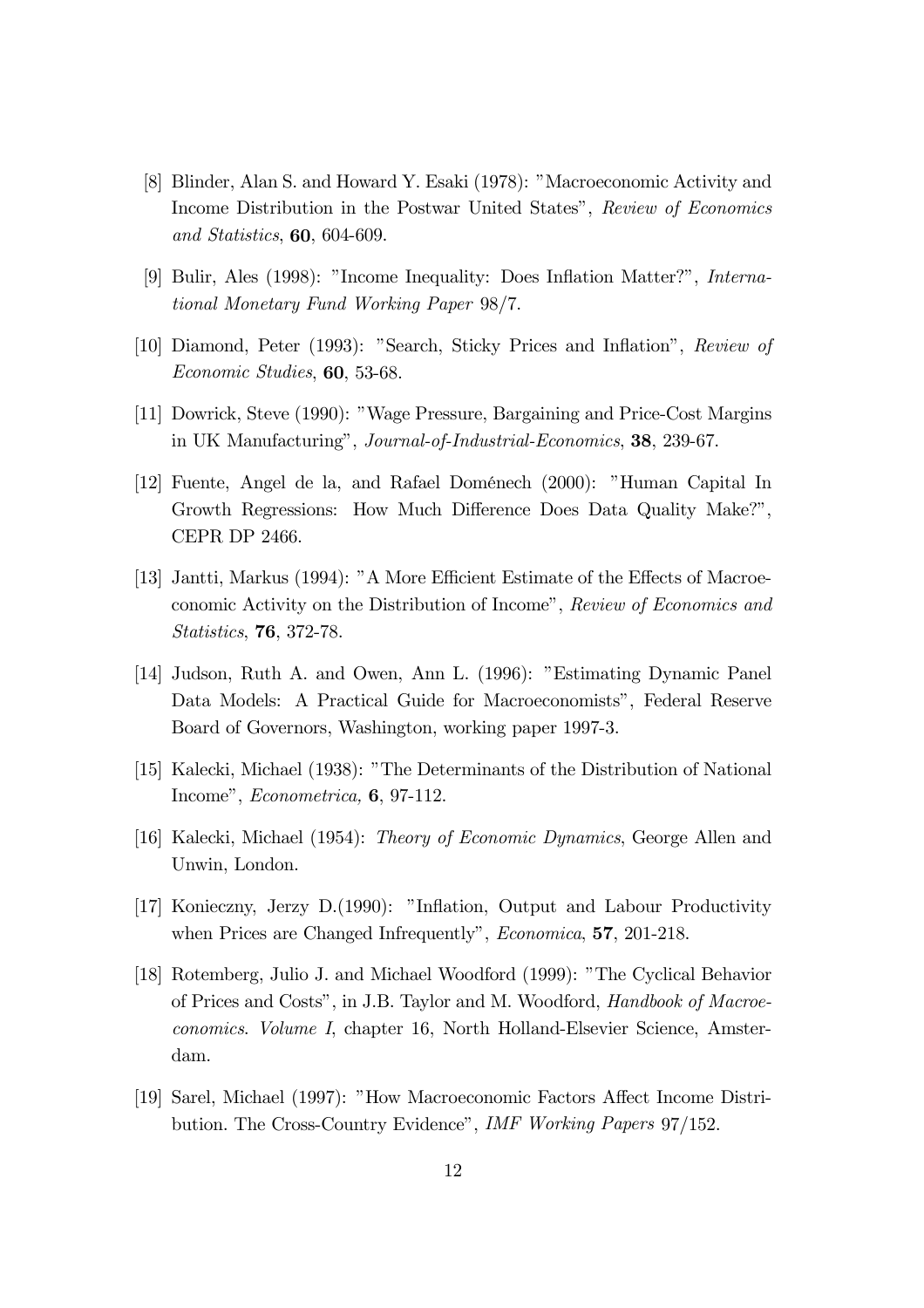- [8] Blinder, Alan S. and Howard Y. Esaki (1978): "Macroeconomic Activity and Income Distribution in the Postwar United States", Review of Economics and Statistics, 60, 604-609.
- [9] Bulir, Ales (1998): "Income Inequality: Does In‡ation Matter?", International Monetary Fund Working Paper 98/7.
- [10] Diamond, Peter (1993): "Search, Sticky Prices and In‡ation", Review of Economic Studies, 60, 53-68.
- [11] Dowrick, Steve (1990): "Wage Pressure, Bargaining and Price-Cost Margins in UK Manufacturing", Journal-of-Industrial-Economics, 38, 239-67.
- [12] Fuente, Angel de la, and Rafael Doménech (2000): "Human Capital In Growth Regressions: How Much Difference Does Data Quality Make?", CEPR DP 2466.
- [13] Jantti, Markus (1994): "A More Efficient Estimate of the Effects of Macroeconomic Activity on the Distribution of Income", Review of Economics and Statistics, 76, 372-78.
- [14] Judson, Ruth A. and Owen, Ann L. (1996): "Estimating Dynamic Panel Data Models: A Practical Guide for Macroeconomists", Federal Reserve Board of Governors, Washington, working paper 1997-3.
- [15] Kalecki, Michael (1938): "The Determinants of the Distribution of National Income", Econometrica, 6, 97-112.
- [16] Kalecki, Michael (1954): Theory of Economic Dynamics, George Allen and Unwin, London.
- [17] Konieczny, Jerzy D.(1990): "Inflation, Output and Labour Productivity when Prices are Changed Infrequently", *Economica*, **57**, 201-218.
- [18] Rotemberg, Julio J. and Michael Woodford (1999): "The Cyclical Behavior of Prices and Costs", in J.B. Taylor and M. Woodford, Handbook of Macroeconomics. Volume I, chapter 16, North Holland-Elsevier Science, Amsterdam.
- [19] Sarel, Michael (1997): "How Macroeconomic Factors A¤ect Income Distribution. The Cross-Country Evidence", IMF Working Papers 97/152.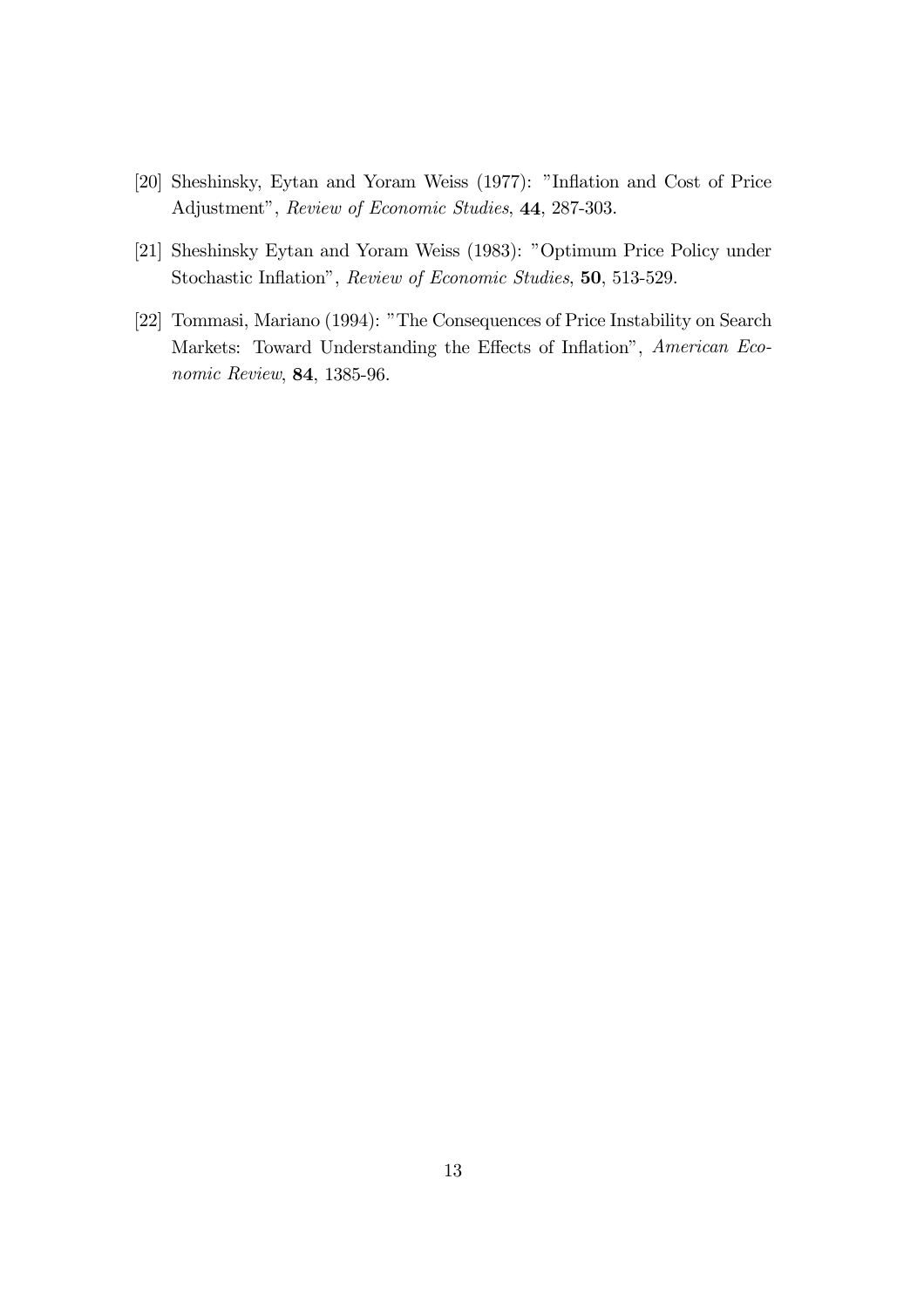- [20] Sheshinsky, Eytan and Yoram Weiss (1977): "Inflation and Cost of Price Adjustment", Review of Economic Studies, 44, 287-303.
- [21] Sheshinsky Eytan and Yoram Weiss (1983): "Optimum Price Policy under Stochastic Inflation", Review of Economic Studies, 50, 513-529.
- [22] Tommasi, Mariano (1994): "The Consequences of Price Instability on Search Markets: Toward Understanding the Effects of Inflation", American Economic Review, 84, 1385-96.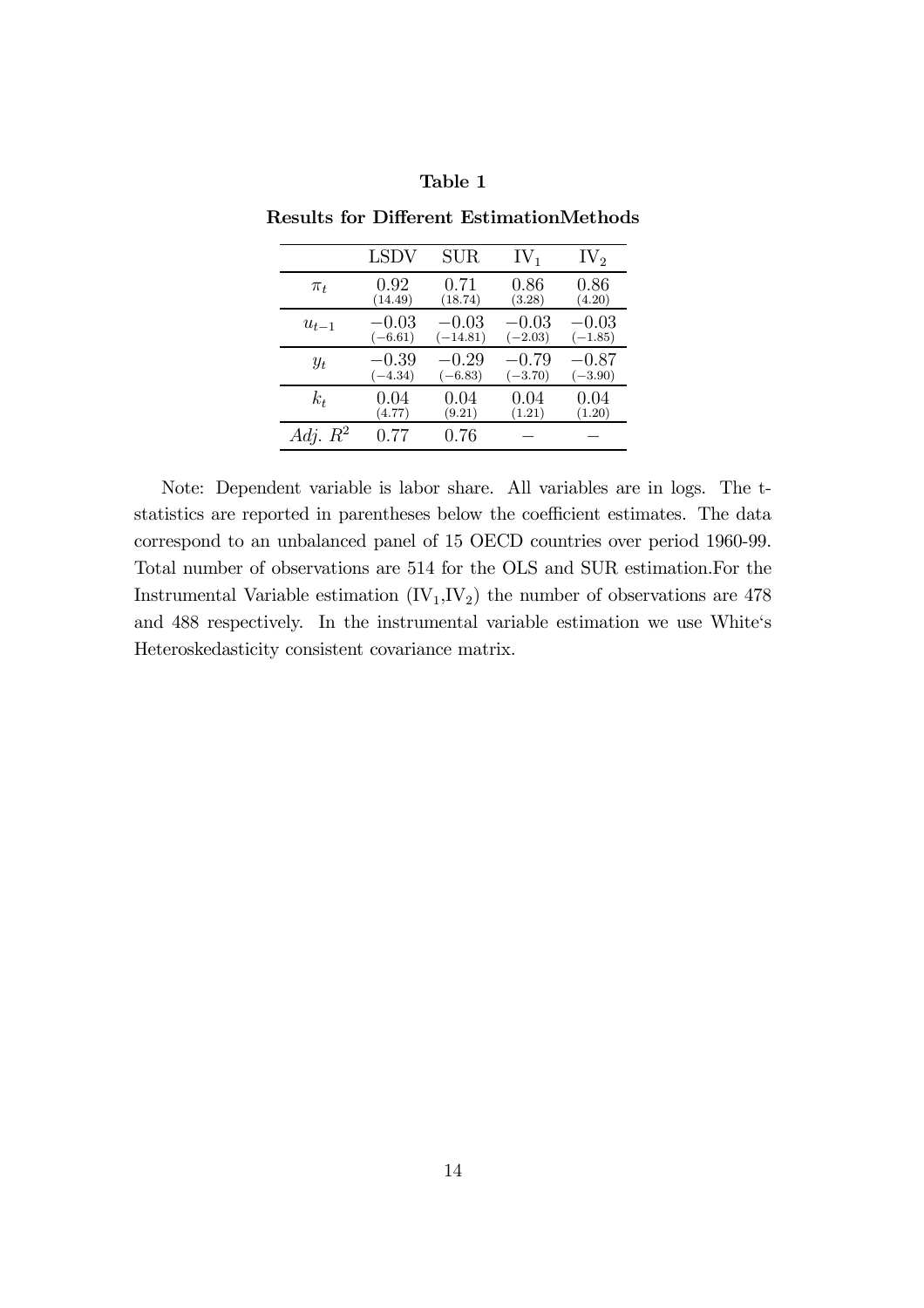|            | LSDV      | <b>SUR</b> | $IV_1$    | $IV_2$    |
|------------|-----------|------------|-----------|-----------|
| $\pi_t$    | 0.92      | 0.71       | 0.86      | 0.86      |
|            | (14.49)   | (18.74)    | (3.28)    | (4.20)    |
| $u_{t-1}$  | $-0.03\,$ | $-0.03\,$  | $-0.03$   | $-0.03$   |
|            | $(-6.61)$ | $(-14.81)$ | $(-2.03)$ | $(-1.85)$ |
| $y_t$      | $-0.39$   | $-0.29\,$  | $-0.79$   | $-0.87$   |
|            | $(-4.34)$ | $(-6.83)$  | $(-3.70)$ | $(-3.90)$ |
| $k_t$      | 0.04      | 0.04       | $0.04\,$  | 0.04      |
|            | (4.77)    | (9.21)     | (1.21)    | (1.20)    |
| Adj. $R^2$ | 0.77      | 0.76       |           |           |

Results for Different EstimationMethods

Note: Dependent variable is labor share. All variables are in logs. The tstatistics are reported in parentheses below the coefficient estimates. The data correspond to an unbalanced panel of 15 OECD countries over period 1960-99. Total number of observations are 514 for the OLS and SUR estimation.For the Instrumental Variable estimation  $(IV_1, IV_2)$  the number of observations are 478 and 488 respectively. In the instrumental variable estimation we use White's Heteroskedasticity consistent covariance matrix.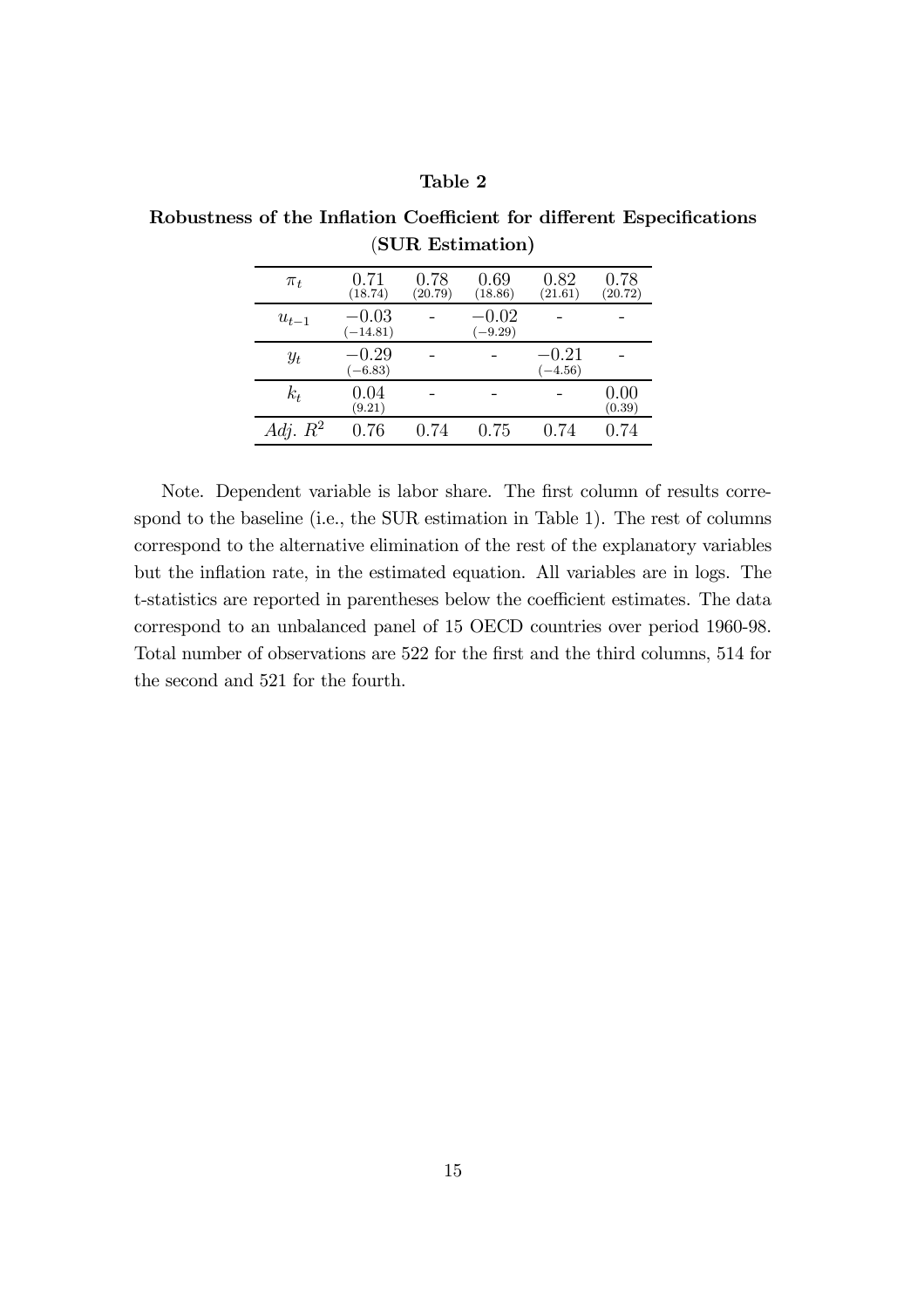#### Table 2

| $\pi_t$    | 0.71<br>(18.74)       | 0.78<br>(20.79) | 0.69<br>(18.86)      | 0.82<br>(21.61)      | 0.78<br>(20.72) |
|------------|-----------------------|-----------------|----------------------|----------------------|-----------------|
| $u_{t-1}$  | $-0.03$<br>$(-14.81)$ |                 | $-0.02$<br>$(-9.29)$ |                      |                 |
| $y_t$      | $-0.29$<br>$(-6.83)$  |                 |                      | $-0.21$<br>$(-4.56)$ |                 |
| $k_t$      | 0.04<br>(9.21)        |                 |                      |                      | 0.00<br>(0.39)  |
| Adj. $R^2$ | 0.76                  | 0.74            | 0.75                 | 0.74                 | 0.74            |

Robustness of the Inflation Coefficient for different Especifications (SUR Estimation)

Note. Dependent variable is labor share. The first column of results correspond to the baseline (i.e., the SUR estimation in Table 1). The rest of columns correspond to the alternative elimination of the rest of the explanatory variables but the inflation rate, in the estimated equation. All variables are in logs. The t-statistics are reported in parentheses below the coefficient estimates. The data correspond to an unbalanced panel of 15 OECD countries over period 1960-98. Total number of observations are 522 for the first and the third columns, 514 for the second and 521 for the fourth.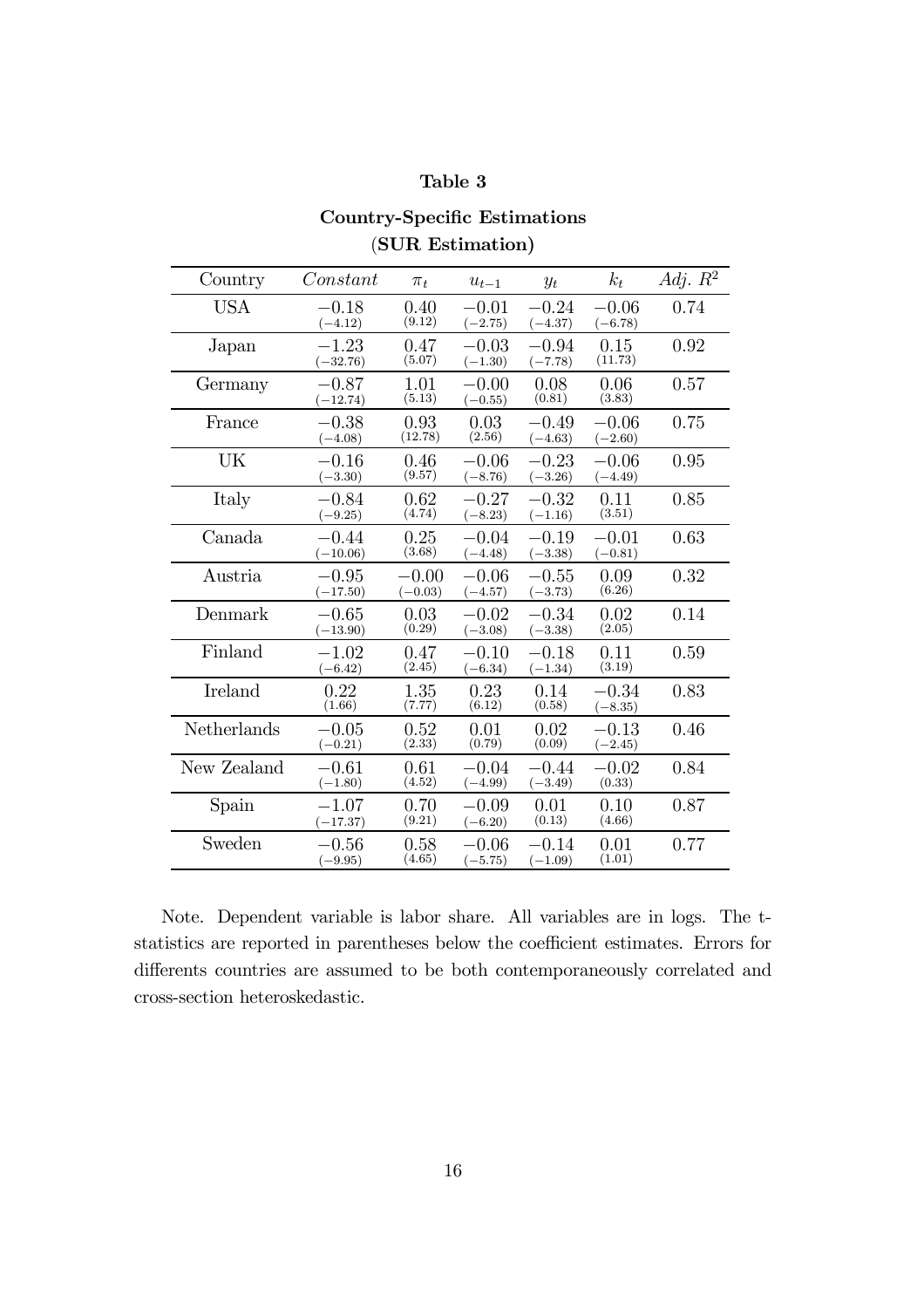### Table 3

### Country-Specific Estimations (SUR Estimation)

| Country     | Constant               | $\pi_t$              | $u_{t-1}$            | $y_t$                  | $k_t$                | Adj. $R^2$ |
|-------------|------------------------|----------------------|----------------------|------------------------|----------------------|------------|
| <b>USA</b>  | $-0.18$<br>$(-4.12)$   | 0.40<br>(9.12)       | $-0.01$<br>$(-2.75)$ | $-0.24\,$<br>$(-4.37)$ | $-0.06$<br>$(-6.78)$ | 0.74       |
| Japan       | $-1.23$<br>$(-32.76)$  | 0.47<br>(5.07)       | $-0.03$<br>$(-1.30)$ | $-0.94$<br>$(-7.78)$   | 0.15<br>(11.73)      | 0.92       |
| Germany     | $-0.87$<br>$(-12.74)$  | 1.01<br>(5.13)       | $-0.00$<br>$(-0.55)$ | 0.08<br>(0.81)         | 0.06<br>(3.83)       | 0.57       |
| France      | $-0.38$<br>$(-4.08)$   | 0.93<br>(12.78)      | 0.03<br>(2.56)       | $-0.49$<br>$(-4.63)$   | $-0.06$<br>$(-2.60)$ | 0.75       |
| UK          | $-0.16$<br>$(-3.30)$   | 0.46<br>(9.57)       | $-0.06$<br>$(-8.76)$ | $-0.23$<br>$(-3.26)$   | $-0.06$<br>$(-4.49)$ | 0.95       |
| Italy       | $-0.84\,$<br>$(-9.25)$ | 0.62<br>(4.74)       | $-0.27$<br>$(-8.23)$ | $-0.32$<br>$(-1.16)$   | 0.11<br>(3.51)       | 0.85       |
| Canada      | $-0.44$<br>$(-10.06)$  | 0.25<br>(3.68)       | $-0.04$<br>$(-4.48)$ | $-0.19$<br>$(-3.38)$   | $-0.01$<br>$(-0.81)$ | 0.63       |
| Austria     | $-0.95$<br>$(-17.50)$  | $-0.00$<br>$(-0.03)$ | $-0.06$<br>$(-4.57)$ | $-0.55$<br>$(-3.73)$   | 0.09<br>(6.26)       | 0.32       |
| Denmark     | $-0.65$<br>$(-13.90)$  | 0.03<br>(0.29)       | $-0.02$<br>$(-3.08)$ | $-0.34$<br>$(-3.38)$   | 0.02<br>(2.05)       | 0.14       |
| Finland     | $-1.02$<br>$(-6.42)$   | 0.47<br>(2.45)       | $-0.10$<br>$(-6.34)$ | $-0.18$<br>$(-1.34)$   | 0.11<br>(3.19)       | 0.59       |
| Ireland     | 0.22<br>(1.66)         | 1.35<br>(7.77)       | 0.23<br>(6.12)       | 0.14<br>(0.58)         | $-0.34$<br>$(-8.35)$ | 0.83       |
| Netherlands | $-0.05$<br>$(-0.21)$   | 0.52<br>(2.33)       | 0.01<br>(0.79)       | 0.02<br>(0.09)         | $-0.13$<br>$(-2.45)$ | 0.46       |
| New Zealand | $-0.61$<br>$(-1.80)$   | 0.61<br>(4.52)       | $-0.04$<br>$(-4.99)$ | $-0.44$<br>$(-3.49)$   | $-0.02$<br>(0.33)    | 0.84       |
| Spain       | $-1.07$<br>$(-17.37)$  | 0.70<br>(9.21)       | $-0.09$<br>$(-6.20)$ | 0.01<br>(0.13)         | 0.10<br>(4.66)       | 0.87       |
| Sweden      | $-0.56$<br>$(-9.95)$   | 0.58<br>(4.65)       | $-0.06$<br>$(-5.75)$ | $-0.14\,$<br>$(-1.09)$ | 0.01<br>(1.01)       | 0.77       |

Note. Dependent variable is labor share. All variables are in logs. The tstatistics are reported in parentheses below the coefficient estimates. Errors for differents countries are assumed to be both contemporaneously correlated and cross-section heteroskedastic.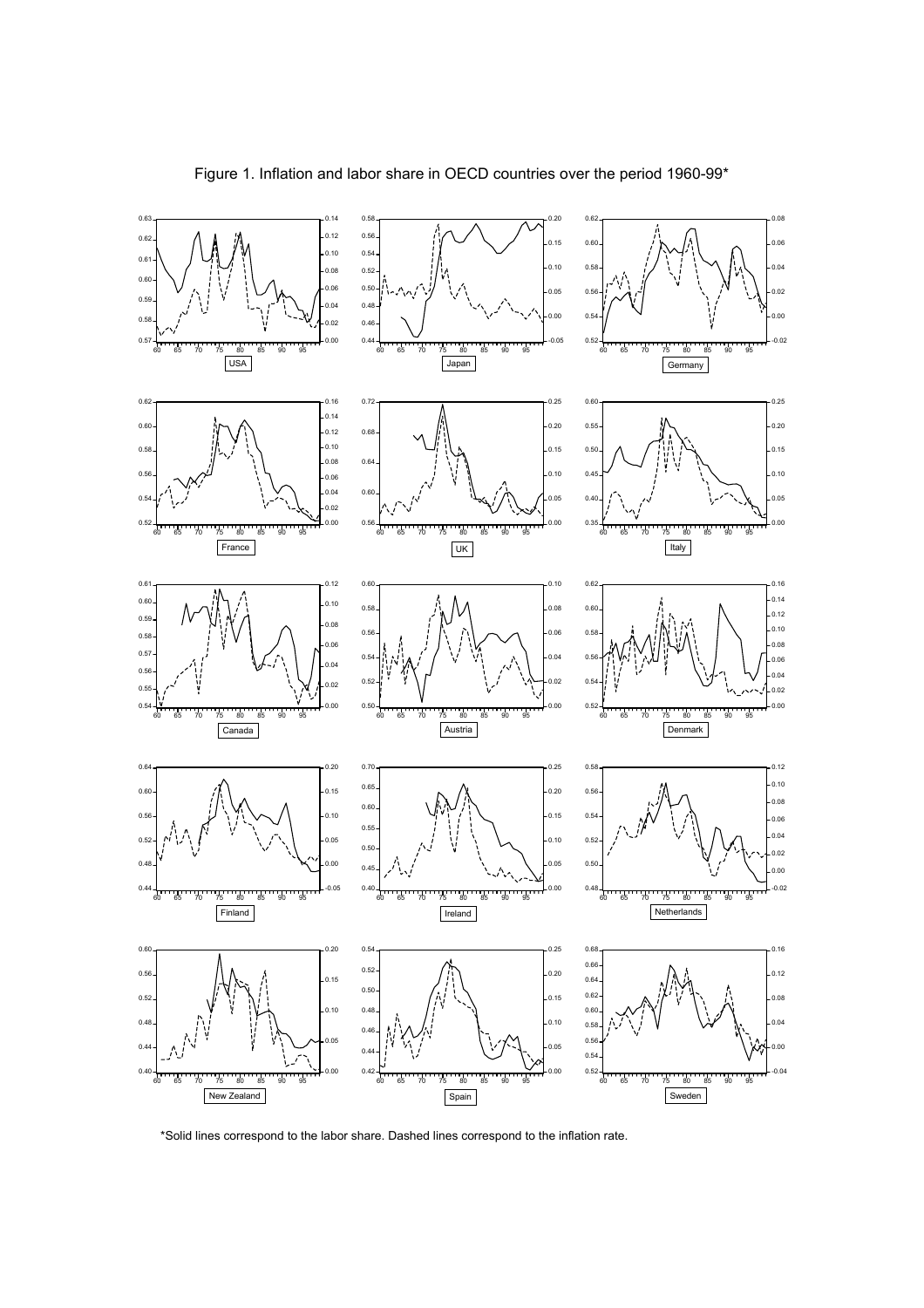

\*Solid lines correspond to the labor share. Dashed lines correspond to the inflation rate.